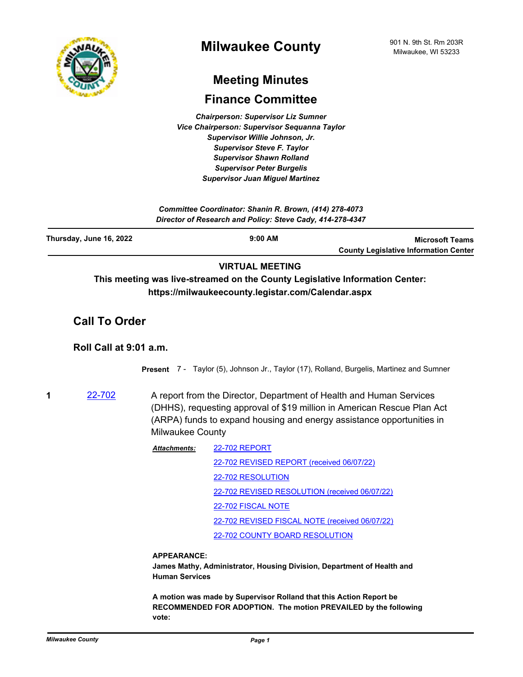

# **Meeting Minutes**

# **Finance Committee**

*Chairperson: Supervisor Liz Sumner Vice Chairperson: Supervisor Sequanna Taylor Supervisor Willie Johnson, Jr. Supervisor Steve F. Taylor Supervisor Shawn Rolland Supervisor Peter Burgelis Supervisor Juan Miguel Martinez*

| Committee Coordinator: Shanin R. Brown, (414) 278-4073<br>Director of Research and Policy: Steve Cady, 414-278-4347 |                                                                                                                                    |                                                                        |  |
|---------------------------------------------------------------------------------------------------------------------|------------------------------------------------------------------------------------------------------------------------------------|------------------------------------------------------------------------|--|
| Thursday, June 16, 2022                                                                                             | $9:00$ AM                                                                                                                          | <b>Microsoft Teams</b><br><b>County Legislative Information Center</b> |  |
|                                                                                                                     | <b>VIRTUAL MEETING</b>                                                                                                             |                                                                        |  |
|                                                                                                                     | This meeting was live-streamed on the County Legislative Information Center:<br>https://milwaukeecounty.legistar.com/Calendar.aspx |                                                                        |  |
| <b>Call To Order</b>                                                                                                |                                                                                                                                    |                                                                        |  |
| Roll Call at 9:01 a.m.                                                                                              |                                                                                                                                    |                                                                        |  |
|                                                                                                                     | <b>Present</b> 7 - Taylor (5), Johnson Jr., Taylor (17), Rolland, Burgelis, Martinez and Sumner                                    |                                                                        |  |
| 1<br>22-702                                                                                                         | A report from the Director, Department of Health and Human Services                                                                |                                                                        |  |

(DHHS), requesting approval of \$19 million in American Rescue Plan Act (ARPA) funds to expand housing and energy assistance opportunities in Milwaukee County

| <b>22-702 REPORT</b>                           |  |
|------------------------------------------------|--|
| 22-702 REVISED REPORT (received 06/07/22)      |  |
| 22-702 RESOLUTION                              |  |
| 22-702 REVISED RESOLUTION (received 06/07/22)  |  |
| 22-702 FISCAL NOTE                             |  |
| 22-702 REVISED FISCAL NOTE (received 06/07/22) |  |
| 22-702 COUNTY BOARD RESOLUTION                 |  |
|                                                |  |

## **APPEARANCE:**

**James Mathy, Administrator, Housing Division, Department of Health and Human Services**

**A motion was made by Supervisor Rolland that this Action Report be RECOMMENDED FOR ADOPTION. The motion PREVAILED by the following vote:**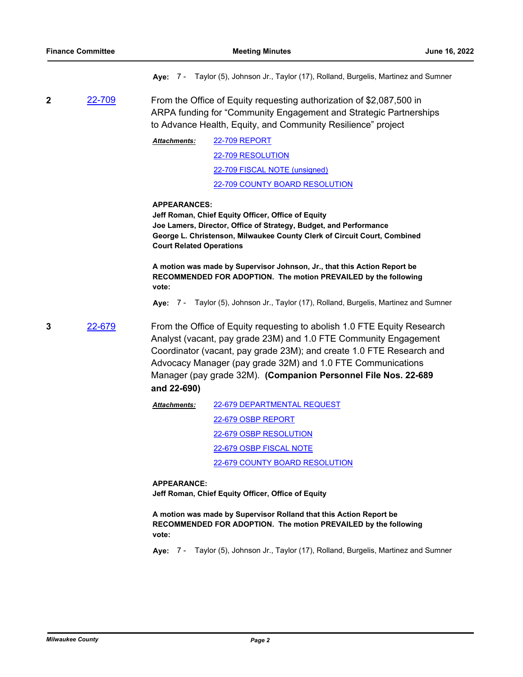|   |               |                                                                                                                                                                                                                                                                                                                                                                     | Aye: 7 - Taylor (5), Johnson Jr., Taylor (17), Rolland, Burgelis, Martinez and Sumner                                                                                                                                                                                                                                                                                                                                                       |  |
|---|---------------|---------------------------------------------------------------------------------------------------------------------------------------------------------------------------------------------------------------------------------------------------------------------------------------------------------------------------------------------------------------------|---------------------------------------------------------------------------------------------------------------------------------------------------------------------------------------------------------------------------------------------------------------------------------------------------------------------------------------------------------------------------------------------------------------------------------------------|--|
| 2 | <u>22-709</u> | From the Office of Equity requesting authorization of \$2,087,500 in<br>ARPA funding for "Community Engagement and Strategic Partnerships<br>to Advance Health, Equity, and Community Resilience" project                                                                                                                                                           |                                                                                                                                                                                                                                                                                                                                                                                                                                             |  |
|   |               | Attachments:                                                                                                                                                                                                                                                                                                                                                        | <b>22-709 REPORT</b>                                                                                                                                                                                                                                                                                                                                                                                                                        |  |
|   |               |                                                                                                                                                                                                                                                                                                                                                                     | 22-709 RESOLUTION                                                                                                                                                                                                                                                                                                                                                                                                                           |  |
|   |               |                                                                                                                                                                                                                                                                                                                                                                     | 22-709 FISCAL NOTE (unsigned)                                                                                                                                                                                                                                                                                                                                                                                                               |  |
|   |               |                                                                                                                                                                                                                                                                                                                                                                     | 22-709 COUNTY BOARD RESOLUTION                                                                                                                                                                                                                                                                                                                                                                                                              |  |
|   |               | <b>APPEARANCES:</b><br><b>Court Related Operations</b><br>vote:                                                                                                                                                                                                                                                                                                     | Jeff Roman, Chief Equity Officer, Office of Equity<br>Joe Lamers, Director, Office of Strategy, Budget, and Performance<br>George L. Christenson, Milwaukee County Clerk of Circuit Court, Combined<br>A motion was made by Supervisor Johnson, Jr., that this Action Report be<br>RECOMMENDED FOR ADOPTION. The motion PREVAILED by the following<br>Aye: 7 - Taylor (5), Johnson Jr., Taylor (17), Rolland, Burgelis, Martinez and Sumner |  |
| 3 | 22-679        | From the Office of Equity requesting to abolish 1.0 FTE Equity Research<br>Analyst (vacant, pay grade 23M) and 1.0 FTE Community Engagement<br>Coordinator (vacant, pay grade 23M); and create 1.0 FTE Research and<br>Advocacy Manager (pay grade 32M) and 1.0 FTE Communications<br>Manager (pay grade 32M). (Companion Personnel File Nos. 22-689<br>and 22-690) |                                                                                                                                                                                                                                                                                                                                                                                                                                             |  |
|   |               | Attachments:                                                                                                                                                                                                                                                                                                                                                        | 22-679 DEPARTMENTAL REQUEST                                                                                                                                                                                                                                                                                                                                                                                                                 |  |
|   |               |                                                                                                                                                                                                                                                                                                                                                                     | 22-679 OSBP REPORT                                                                                                                                                                                                                                                                                                                                                                                                                          |  |
|   |               |                                                                                                                                                                                                                                                                                                                                                                     | 22-679 OSBP RESOLUTION                                                                                                                                                                                                                                                                                                                                                                                                                      |  |
|   |               |                                                                                                                                                                                                                                                                                                                                                                     | 22-679 OSBP FISCAL NOTE                                                                                                                                                                                                                                                                                                                                                                                                                     |  |
|   |               |                                                                                                                                                                                                                                                                                                                                                                     | 22-679 COUNTY BOARD RESOLUTION                                                                                                                                                                                                                                                                                                                                                                                                              |  |
|   |               | <b>APPEARANCE:</b>                                                                                                                                                                                                                                                                                                                                                  | Jeff Roman, Chief Equity Officer, Office of Equity                                                                                                                                                                                                                                                                                                                                                                                          |  |
|   |               | vote:                                                                                                                                                                                                                                                                                                                                                               | A motion was made by Supervisor Rolland that this Action Report be<br>RECOMMENDED FOR ADOPTION. The motion PREVAILED by the following                                                                                                                                                                                                                                                                                                       |  |
|   |               |                                                                                                                                                                                                                                                                                                                                                                     | Aye: 7 - Taylor (5), Johnson Jr., Taylor (17), Rolland, Burgelis, Martinez and Sumner                                                                                                                                                                                                                                                                                                                                                       |  |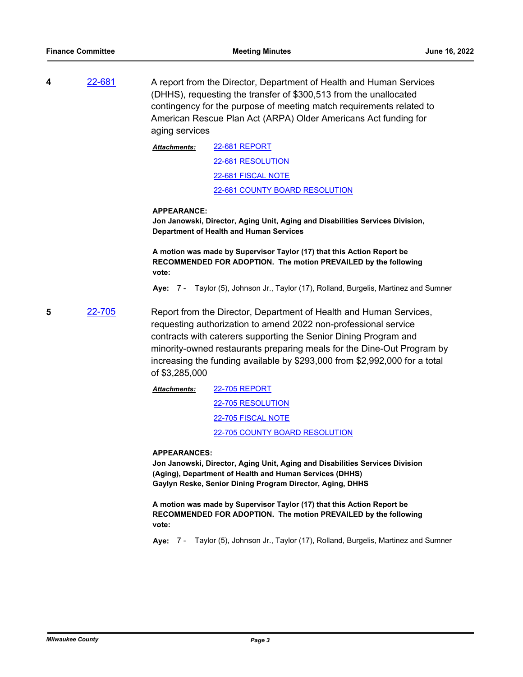**4** [22-681](http://milwaukeecounty.legistar.com/gateway.aspx?m=l&id=/matter.aspx?key=12379) A report from the Director, Department of Health and Human Services (DHHS), requesting the transfer of \$300,513 from the unallocated contingency for the purpose of meeting match requirements related to American Rescue Plan Act (ARPA) Older Americans Act funding for aging services

> [22-681 REPORT](http://MilwaukeeCounty.legistar.com/gateway.aspx?M=F&ID=d8c46cb8-8177-49eb-8ef7-75b0d1b3c078.pdf) [22-681 RESOLUTION](http://MilwaukeeCounty.legistar.com/gateway.aspx?M=F&ID=db9b5f59-75aa-4de0-8998-6cb9bd77557d.doc) [22-681 FISCAL NOTE](http://MilwaukeeCounty.legistar.com/gateway.aspx?M=F&ID=1096270f-63cf-434f-af5f-737bf6777e55.pdf) [22-681 COUNTY BOARD RESOLUTION](http://MilwaukeeCounty.legistar.com/gateway.aspx?M=F&ID=9d91de39-49ca-4d4d-b58f-a2d6e5ec144c.pdf) *Attachments:*

### **APPEARANCE:**

**Jon Janowski, Director, Aging Unit, Aging and Disabilities Services Division, Department of Health and Human Services**

**A motion was made by Supervisor Taylor (17) that this Action Report be RECOMMENDED FOR ADOPTION. The motion PREVAILED by the following vote:**

**Aye:** 7 - Taylor (5), Johnson Jr., Taylor (17), Rolland, Burgelis, Martinez and Sumner

**5** [22-705](http://milwaukeecounty.legistar.com/gateway.aspx?m=l&id=/matter.aspx?key=12404) Report from the Director, Department of Health and Human Services, requesting authorization to amend 2022 non-professional service contracts with caterers supporting the Senior Dining Program and minority-owned restaurants preparing meals for the Dine-Out Program by increasing the funding available by \$293,000 from \$2,992,000 for a total of \$3,285,000

> [22-705 REPORT](http://MilwaukeeCounty.legistar.com/gateway.aspx?M=F&ID=d3ee8dcc-86c7-4ced-930a-ba9dd434437c.pdf) [22-705 RESOLUTION](http://MilwaukeeCounty.legistar.com/gateway.aspx?M=F&ID=f2893725-a830-489c-b4ae-894167a0da87.doc) [22-705 FISCAL NOTE](http://MilwaukeeCounty.legistar.com/gateway.aspx?M=F&ID=e5470e9b-6671-435b-87c0-673cf18457c4.pdf) [22-705 COUNTY BOARD RESOLUTION](http://MilwaukeeCounty.legistar.com/gateway.aspx?M=F&ID=3d0cbb81-4597-4d91-a492-d1ce8c8ebfc8.pdf) *Attachments:*

#### **APPEARANCES:**

**Jon Janowski, Director, Aging Unit, Aging and Disabilities Services Division (Aging), Department of Health and Human Services (DHHS) Gaylyn Reske, Senior Dining Program Director, Aging, DHHS**

**A motion was made by Supervisor Taylor (17) that this Action Report be RECOMMENDED FOR ADOPTION. The motion PREVAILED by the following vote:**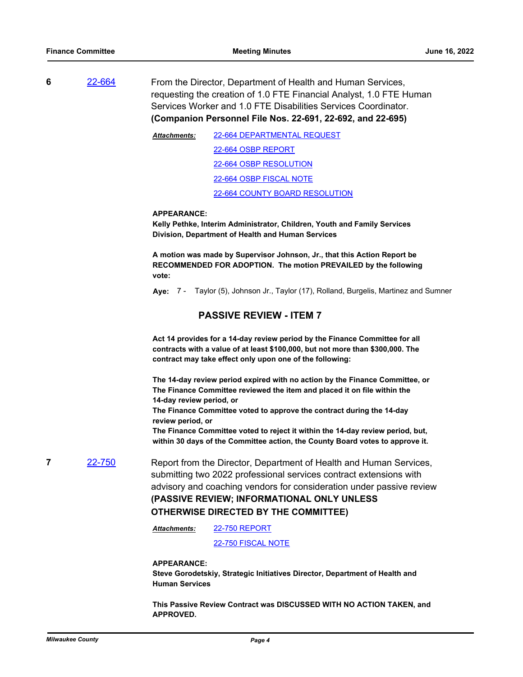**6** [22-664](http://milwaukeecounty.legistar.com/gateway.aspx?m=l&id=/matter.aspx?key=12362) From the Director, Department of Health and Human Services, requesting the creation of 1.0 FTE Financial Analyst, 1.0 FTE Human Services Worker and 1.0 FTE Disabilities Services Coordinator. **(Companion Personnel File Nos. 22-691, 22-692, and 22-695)**

> [22-664 DEPARTMENTAL REQUEST](http://MilwaukeeCounty.legistar.com/gateway.aspx?M=F&ID=baf38a87-9492-4d00-aa2a-90d16bd7b7e4.pdf) [22-664 OSBP REPORT](http://MilwaukeeCounty.legistar.com/gateway.aspx?M=F&ID=e50614d6-427e-4dfe-8b60-b164436ac253.pdf) [22-664 OSBP RESOLUTION](http://MilwaukeeCounty.legistar.com/gateway.aspx?M=F&ID=2ec0f03b-34cd-4289-9c65-837f79047920.docx) [22-664 OSBP FISCAL NOTE](http://MilwaukeeCounty.legistar.com/gateway.aspx?M=F&ID=89190461-d76e-4a8e-ab89-035327f1467f.pdf) [22-664 COUNTY BOARD RESOLUTION](http://MilwaukeeCounty.legistar.com/gateway.aspx?M=F&ID=8dedfd18-6c04-48f2-ac2a-fc4bd3034b0c.pdf) *Attachments:*

#### **APPEARANCE:**

**Kelly Pethke, Interim Administrator, Children, Youth and Family Services Division, Department of Health and Human Services**

**A motion was made by Supervisor Johnson, Jr., that this Action Report be RECOMMENDED FOR ADOPTION. The motion PREVAILED by the following vote:**

**Aye:** 7 - Taylor (5), Johnson Jr., Taylor (17), Rolland, Burgelis, Martinez and Sumner

# **PASSIVE REVIEW - ITEM 7**

**Act 14 provides for a 14-day review period by the Finance Committee for all contracts with a value of at least \$100,000, but not more than \$300,000. The contract may take effect only upon one of the following:**

**The 14-day review period expired with no action by the Finance Committee, or The Finance Committee reviewed the item and placed it on file within the 14-day review period, or**

**The Finance Committee voted to approve the contract during the 14-day review period, or**

**The Finance Committee voted to reject it within the 14-day review period, but, within 30 days of the Committee action, the County Board votes to approve it.**

**7** [22-750](http://milwaukeecounty.legistar.com/gateway.aspx?m=l&id=/matter.aspx?key=12456) Report from the Director, Department of Health and Human Services, submitting two 2022 professional services contract extensions with advisory and coaching vendors for consideration under passive review **(PASSIVE REVIEW; INFORMATIONAL ONLY UNLESS OTHERWISE DIRECTED BY THE COMMITTEE)**

> [22-750 REPORT](http://MilwaukeeCounty.legistar.com/gateway.aspx?M=F&ID=ba6574d2-b799-4b1a-85c0-d14ef6a935bc.pdf) *Attachments:*

> > [22-750 FISCAL NOTE](http://MilwaukeeCounty.legistar.com/gateway.aspx?M=F&ID=87b2155c-e93f-49e4-8b6a-cb90d89145d8.pdf)

#### **APPEARANCE:**

**Steve Gorodetskiy, Strategic Initiatives Director, Department of Health and Human Services**

**This Passive Review Contract was DISCUSSED WITH NO ACTION TAKEN, and APPROVED.**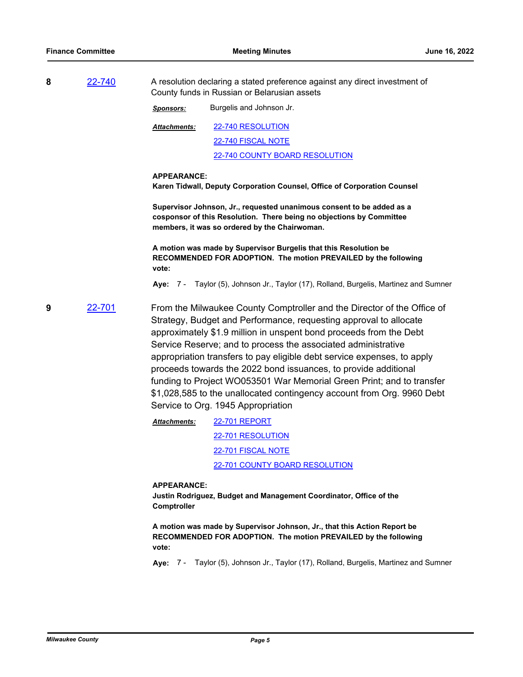| 8 | 22-740 | A resolution declaring a stated preference against any direct investment of<br>County funds in Russian or Belarusian assets                                                                    |                                                                                                                                                                                                                                                                                                                                                                                                                                                                                                                                                                                                                            |
|---|--------|------------------------------------------------------------------------------------------------------------------------------------------------------------------------------------------------|----------------------------------------------------------------------------------------------------------------------------------------------------------------------------------------------------------------------------------------------------------------------------------------------------------------------------------------------------------------------------------------------------------------------------------------------------------------------------------------------------------------------------------------------------------------------------------------------------------------------------|
|   |        | <u>Sponsors:</u>                                                                                                                                                                               | Burgelis and Johnson Jr.                                                                                                                                                                                                                                                                                                                                                                                                                                                                                                                                                                                                   |
|   |        | Attachments:                                                                                                                                                                                   | 22-740 RESOLUTION                                                                                                                                                                                                                                                                                                                                                                                                                                                                                                                                                                                                          |
|   |        |                                                                                                                                                                                                | 22-740 FISCAL NOTE                                                                                                                                                                                                                                                                                                                                                                                                                                                                                                                                                                                                         |
|   |        |                                                                                                                                                                                                | 22-740 COUNTY BOARD RESOLUTION                                                                                                                                                                                                                                                                                                                                                                                                                                                                                                                                                                                             |
|   |        | <b>APPEARANCE:</b>                                                                                                                                                                             | Karen Tidwall, Deputy Corporation Counsel, Office of Corporation Counsel                                                                                                                                                                                                                                                                                                                                                                                                                                                                                                                                                   |
|   |        | Supervisor Johnson, Jr., requested unanimous consent to be added as a<br>cosponsor of this Resolution. There being no objections by Committee<br>members, it was so ordered by the Chairwoman. |                                                                                                                                                                                                                                                                                                                                                                                                                                                                                                                                                                                                                            |
|   |        | vote:                                                                                                                                                                                          | A motion was made by Supervisor Burgelis that this Resolution be<br>RECOMMENDED FOR ADOPTION. The motion PREVAILED by the following                                                                                                                                                                                                                                                                                                                                                                                                                                                                                        |
|   |        |                                                                                                                                                                                                | Aye: 7 - Taylor (5), Johnson Jr., Taylor (17), Rolland, Burgelis, Martinez and Sumner                                                                                                                                                                                                                                                                                                                                                                                                                                                                                                                                      |
| 9 | 22-701 |                                                                                                                                                                                                | From the Milwaukee County Comptroller and the Director of the Office of<br>Strategy, Budget and Performance, requesting approval to allocate<br>approximately \$1.9 million in unspent bond proceeds from the Debt<br>Service Reserve; and to process the associated administrative<br>appropriation transfers to pay eligible debt service expenses, to apply<br>proceeds towards the 2022 bond issuances, to provide additional<br>funding to Project WO053501 War Memorial Green Print; and to transfer<br>\$1,028,585 to the unallocated contingency account from Org. 9960 Debt<br>Service to Org. 1945 Appropriation |
|   |        | <b>Attachments:</b>                                                                                                                                                                            | <b>22-701 REPORT</b>                                                                                                                                                                                                                                                                                                                                                                                                                                                                                                                                                                                                       |
|   |        |                                                                                                                                                                                                | 22-701 RESOLUTION                                                                                                                                                                                                                                                                                                                                                                                                                                                                                                                                                                                                          |
|   |        |                                                                                                                                                                                                | 22-701 FISCAL NOTE                                                                                                                                                                                                                                                                                                                                                                                                                                                                                                                                                                                                         |
|   |        |                                                                                                                                                                                                | 22-701 COUNTY BOARD RESOLUTION                                                                                                                                                                                                                                                                                                                                                                                                                                                                                                                                                                                             |
|   |        | <b>APPEARANCE:</b><br>Comptroller                                                                                                                                                              | Justin Rodriguez, Budget and Management Coordinator, Office of the<br>A motion was made by Supervisor Johnson, Jr., that this Action Report be<br>RECOMMENDED FOR ADOPTION. The motion PREVAILED by the following                                                                                                                                                                                                                                                                                                                                                                                                          |

**vote:**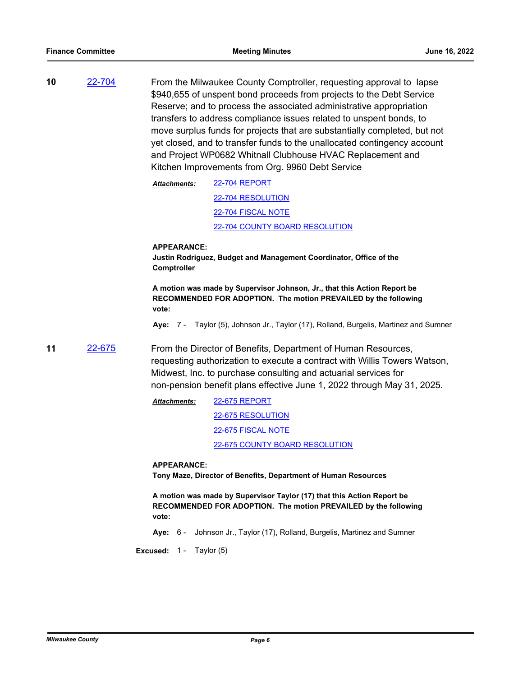**10** [22-704](http://milwaukeecounty.legistar.com/gateway.aspx?m=l&id=/matter.aspx?key=12403) From the Milwaukee County Comptroller, requesting approval to lapse \$940,655 of unspent bond proceeds from projects to the Debt Service Reserve; and to process the associated administrative appropriation transfers to address compliance issues related to unspent bonds, to move surplus funds for projects that are substantially completed, but not yet closed, and to transfer funds to the unallocated contingency account and Project WP0682 Whitnall Clubhouse HVAC Replacement and Kitchen Improvements from Org. 9960 Debt Service

> [22-704 REPORT](http://MilwaukeeCounty.legistar.com/gateway.aspx?M=F&ID=74b1b84e-37c8-4893-aaa9-a9c22484efd6.pdf) [22-704 RESOLUTION](http://MilwaukeeCounty.legistar.com/gateway.aspx?M=F&ID=dcb0a19d-b101-47d0-8064-3498601569cd.docx) [22-704 FISCAL NOTE](http://MilwaukeeCounty.legistar.com/gateway.aspx?M=F&ID=a5a7d3bc-9b34-41c9-a2eb-159e0155b24b.pdf) [22-704 COUNTY BOARD RESOLUTION](http://MilwaukeeCounty.legistar.com/gateway.aspx?M=F&ID=feb00aee-1a9a-42ab-98ec-3ced948fe9a5.pdf) *Attachments:*

#### **APPEARANCE:**

**Justin Rodriguez, Budget and Management Coordinator, Office of the Comptroller**

**A motion was made by Supervisor Johnson, Jr., that this Action Report be RECOMMENDED FOR ADOPTION. The motion PREVAILED by the following vote:**

**Aye:** 7 - Taylor (5), Johnson Jr., Taylor (17), Rolland, Burgelis, Martinez and Sumner

**11** [22-675](http://milwaukeecounty.legistar.com/gateway.aspx?m=l&id=/matter.aspx?key=12373) From the Director of Benefits, Department of Human Resources, requesting authorization to execute a contract with Willis Towers Watson, Midwest, Inc. to purchase consulting and actuarial services for non-pension benefit plans effective June 1, 2022 through May 31, 2025.

> [22-675 REPORT](http://MilwaukeeCounty.legistar.com/gateway.aspx?M=F&ID=2b81d7bb-17d4-4b75-9e18-6b045da2c994.pdf) [22-675 RESOLUTION](http://MilwaukeeCounty.legistar.com/gateway.aspx?M=F&ID=63bad962-f16d-4c77-9990-ab29415583cf.doc) [22-675 FISCAL NOTE](http://MilwaukeeCounty.legistar.com/gateway.aspx?M=F&ID=05705e20-62f5-4e65-a39b-3b2703ae44bf.pdf) [22-675 COUNTY BOARD RESOLUTION](http://MilwaukeeCounty.legistar.com/gateway.aspx?M=F&ID=67334629-094d-4544-97f7-10c22cb1e903.pdf) *Attachments:*

#### **APPEARANCE:**

**Tony Maze, Director of Benefits, Department of Human Resources**

**A motion was made by Supervisor Taylor (17) that this Action Report be RECOMMENDED FOR ADOPTION. The motion PREVAILED by the following vote:**

**Aye:** 6 - Johnson Jr., Taylor (17), Rolland, Burgelis, Martinez and Sumner

**Excused:** 1 - Taylor (5)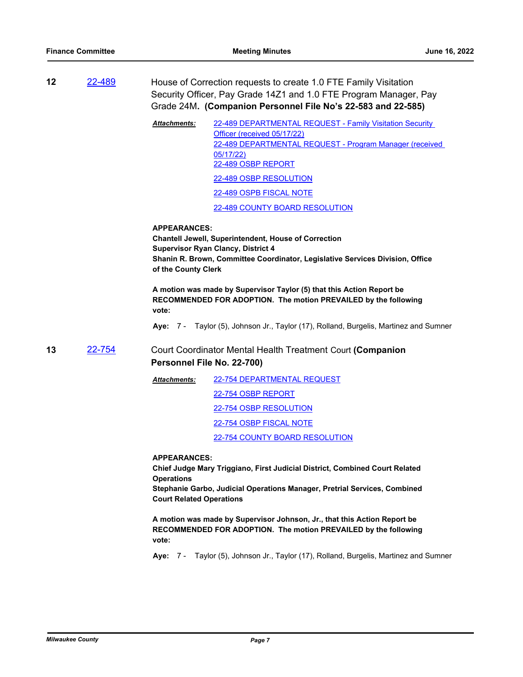**12** [22-489](http://milwaukeecounty.legistar.com/gateway.aspx?m=l&id=/matter.aspx?key=12146) House of Correction requests to create 1.0 FTE Family Visitation Security Officer, Pay Grade 14Z1 and 1.0 FTE Program Manager, Pay Grade 24M**. (Companion Personnel File No's 22-583 and 22-585)**

> [22-489 DEPARTMENTAL REQUEST - Family Visitation Security](http://MilwaukeeCounty.legistar.com/gateway.aspx?M=F&ID=7c13ddb0-2c35-4d53-b386-6fd549acb45b.pdf)  Officer (received 05/17/22) [22-489 DEPARTMENTAL REQUEST - Program Manager \(received](http://MilwaukeeCounty.legistar.com/gateway.aspx?M=F&ID=61b7cd46-2d18-4410-a0bb-4c8a0d3f4562.pdf)  05/17/22) [22-489 OSBP REPORT](http://MilwaukeeCounty.legistar.com/gateway.aspx?M=F&ID=2c84feda-9780-486a-afe8-81bcd8300c46.pdf) [22-489 OSBP RESOLUTION](http://MilwaukeeCounty.legistar.com/gateway.aspx?M=F&ID=5c9f5d99-f9bc-4387-bcc5-4f60d3019afe.docx) [22-489 OSPB FISCAL NOTE](http://MilwaukeeCounty.legistar.com/gateway.aspx?M=F&ID=b3bc5510-2f13-4bff-97de-11571851bb25.pdf) [22-489 COUNTY BOARD RESOLUTION](http://MilwaukeeCounty.legistar.com/gateway.aspx?M=F&ID=401e6db8-bbbb-4d11-b8b2-bf7c292636a1.pdf) *Attachments:*

**APPEARANCES: Chantell Jewell, Superintendent, House of Correction**

**Supervisor Ryan Clancy, District 4 Shanin R. Brown, Committee Coordinator, Legislative Services Division, Office of the County Clerk**

**A motion was made by Supervisor Taylor (5) that this Action Report be RECOMMENDED FOR ADOPTION. The motion PREVAILED by the following vote:**

**Aye:** 7 - Taylor (5), Johnson Jr., Taylor (17), Rolland, Burgelis, Martinez and Sumner

**13** [22-754](http://milwaukeecounty.legistar.com/gateway.aspx?m=l&id=/matter.aspx?key=12462) Court Coordinator Mental Health Treatment Court **(Companion Personnel File No. 22-700)**

> [22-754 DEPARTMENTAL REQUEST](http://MilwaukeeCounty.legistar.com/gateway.aspx?M=F&ID=0e2d1c59-bf1c-4890-a9e9-a01e07bc9188.pdf) [22-754 OSBP REPORT](http://MilwaukeeCounty.legistar.com/gateway.aspx?M=F&ID=7f08efb2-5942-411e-9b68-6f6151afe5e8.pdf) [22-754 OSBP RESOLUTION](http://MilwaukeeCounty.legistar.com/gateway.aspx?M=F&ID=a998c1b8-b0e3-46d9-a851-5ef383a6c367.docx) [22-754 OSBP FISCAL NOTE](http://MilwaukeeCounty.legistar.com/gateway.aspx?M=F&ID=d65da7a7-7d0c-411d-9323-9d41ddbd8ac4.pdf) [22-754 COUNTY BOARD RESOLUTION](http://MilwaukeeCounty.legistar.com/gateway.aspx?M=F&ID=eddcc128-811a-4a14-baa1-60adb08a387f.pdf) *Attachments:*

**APPEARANCES:**

**Chief Judge Mary Triggiano, First Judicial District, Combined Court Related Operations**

**Stephanie Garbo, Judicial Operations Manager, Pretrial Services, Combined Court Related Operations**

**A motion was made by Supervisor Johnson, Jr., that this Action Report be RECOMMENDED FOR ADOPTION. The motion PREVAILED by the following vote:**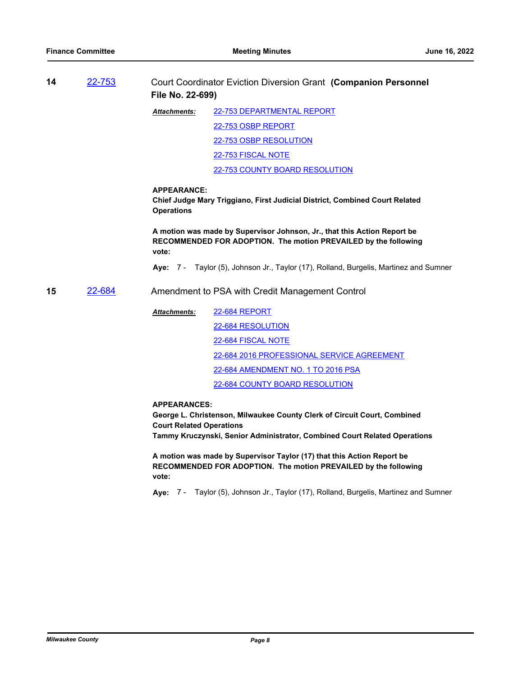**14** [22-753](http://milwaukeecounty.legistar.com/gateway.aspx?m=l&id=/matter.aspx?key=12461) Court Coordinator Eviction Diversion Grant **(Companion Personnel File No. 22-699)** [22-753 DEPARTMENTAL REPORT](http://MilwaukeeCounty.legistar.com/gateway.aspx?M=F&ID=79523e60-8df8-4d68-846a-0b1d91e0d233.pdf) [22-753 OSBP REPORT](http://MilwaukeeCounty.legistar.com/gateway.aspx?M=F&ID=d8510484-9838-46b0-9ca5-a6d679aca8bc.pdf) [22-753 OSBP RESOLUTION](http://MilwaukeeCounty.legistar.com/gateway.aspx?M=F&ID=20acae89-5fda-48ca-b5b1-c4636f8fef06.docx) [22-753 FISCAL NOTE](http://MilwaukeeCounty.legistar.com/gateway.aspx?M=F&ID=d7eaa9af-8add-4411-ab2a-d274b1054d98.pdf) [22-753 COUNTY BOARD RESOLUTION](http://MilwaukeeCounty.legistar.com/gateway.aspx?M=F&ID=6ab829c5-7992-4620-8030-104aa63aeb5e.pdf) *Attachments:* **APPEARANCE: Chief Judge Mary Triggiano, First Judicial District, Combined Court Related Operations A motion was made by Supervisor Johnson, Jr., that this Action Report be RECOMMENDED FOR ADOPTION. The motion PREVAILED by the following vote: Aye:** 7 - Taylor (5), Johnson Jr., Taylor (17), Rolland, Burgelis, Martinez and Sumner **15** [22-684](http://milwaukeecounty.legistar.com/gateway.aspx?m=l&id=/matter.aspx?key=12383) Amendment to PSA with Credit Management Control [22-684 REPORT](http://MilwaukeeCounty.legistar.com/gateway.aspx?M=F&ID=1c0145a1-4c40-459c-b92f-d515546c36d8.pdf) [22-684 RESOLUTION](http://MilwaukeeCounty.legistar.com/gateway.aspx?M=F&ID=5c7efa45-761b-4362-b3ed-57b3475c4e35.docx) [22-684 FISCAL NOTE](http://MilwaukeeCounty.legistar.com/gateway.aspx?M=F&ID=dfd4c52e-9d67-4a2e-bd49-db213a0ac70a.pdf) [22-684 2016 PROFESSIONAL SERVICE AGREEMENT](http://MilwaukeeCounty.legistar.com/gateway.aspx?M=F&ID=c6c153bf-bc5d-4d5b-876e-06e28a30215f.pdf) [22-684 AMENDMENT NO. 1 TO 2016 PSA](http://MilwaukeeCounty.legistar.com/gateway.aspx?M=F&ID=4f9e7910-fba5-4681-9ff3-a8b0610db089.docx) [22-684 COUNTY BOARD RESOLUTION](http://MilwaukeeCounty.legistar.com/gateway.aspx?M=F&ID=6f00f2dc-34ab-4f64-8ca2-9f649effde41.pdf) *Attachments:* **APPEARANCES: George L. Christenson, Milwaukee County Clerk of Circuit Court, Combined Court Related Operations Tammy Kruczynski, Senior Administrator, Combined Court Related Operations A motion was made by Supervisor Taylor (17) that this Action Report be** 

**RECOMMENDED FOR ADOPTION. The motion PREVAILED by the following vote:**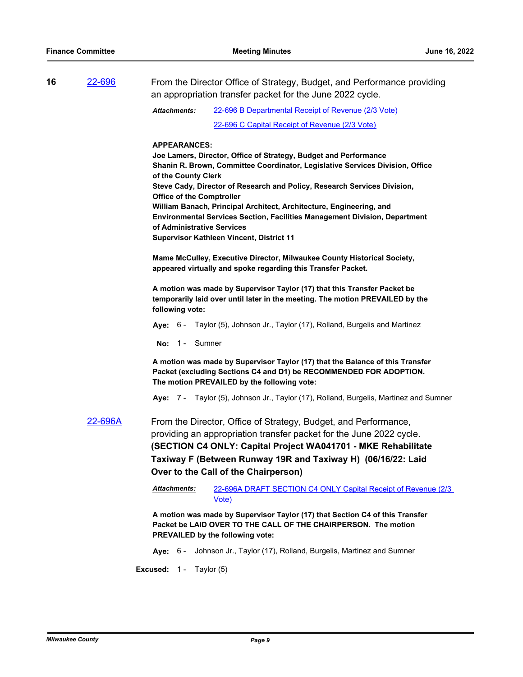| 16 | From the Director Office of Strategy, Budget, and Performance providing<br>22-696<br>an appropriation transfer packet for the June 2022 cycle. |                                                                                                                                                                                                                                                                                                                                                                                                                                                                                                                                                |  |  |
|----|------------------------------------------------------------------------------------------------------------------------------------------------|------------------------------------------------------------------------------------------------------------------------------------------------------------------------------------------------------------------------------------------------------------------------------------------------------------------------------------------------------------------------------------------------------------------------------------------------------------------------------------------------------------------------------------------------|--|--|
|    |                                                                                                                                                | 22-696 B Departmental Receipt of Revenue (2/3 Vote)<br><b>Attachments:</b>                                                                                                                                                                                                                                                                                                                                                                                                                                                                     |  |  |
|    |                                                                                                                                                | 22-696 C Capital Receipt of Revenue (2/3 Vote)                                                                                                                                                                                                                                                                                                                                                                                                                                                                                                 |  |  |
|    |                                                                                                                                                | <b>APPEARANCES:</b><br>Joe Lamers, Director, Office of Strategy, Budget and Performance<br>Shanin R. Brown, Committee Coordinator, Legislative Services Division, Office<br>of the County Clerk<br>Steve Cady, Director of Research and Policy, Research Services Division,<br><b>Office of the Comptroller</b><br>William Banach, Principal Architect, Architecture, Engineering, and<br>Environmental Services Section, Facilities Management Division, Department<br>of Administrative Services<br>Supervisor Kathleen Vincent, District 11 |  |  |
|    |                                                                                                                                                | Mame McCulley, Executive Director, Milwaukee County Historical Society,<br>appeared virtually and spoke regarding this Transfer Packet.                                                                                                                                                                                                                                                                                                                                                                                                        |  |  |
|    |                                                                                                                                                | A motion was made by Supervisor Taylor (17) that this Transfer Packet be<br>temporarily laid over until later in the meeting. The motion PREVAILED by the<br>following vote:                                                                                                                                                                                                                                                                                                                                                                   |  |  |
|    |                                                                                                                                                | Taylor (5), Johnson Jr., Taylor (17), Rolland, Burgelis and Martinez<br>Aye: 6 -                                                                                                                                                                                                                                                                                                                                                                                                                                                               |  |  |
|    |                                                                                                                                                | No: $1 -$<br>Sumner                                                                                                                                                                                                                                                                                                                                                                                                                                                                                                                            |  |  |
|    |                                                                                                                                                | A motion was made by Supervisor Taylor (17) that the Balance of this Transfer<br>Packet (excluding Sections C4 and D1) be RECOMMENDED FOR ADOPTION.<br>The motion PREVAILED by the following vote:                                                                                                                                                                                                                                                                                                                                             |  |  |
|    |                                                                                                                                                | Aye: 7 - Taylor (5), Johnson Jr., Taylor (17), Rolland, Burgelis, Martinez and Sumner                                                                                                                                                                                                                                                                                                                                                                                                                                                          |  |  |
|    | 22-696A                                                                                                                                        | From the Director, Office of Strategy, Budget, and Performance,<br>providing an appropriation transfer packet for the June 2022 cycle.<br>(SECTION C4 ONLY: Capital Project WA041701 - MKE Rehabilitate<br>Taxiway F (Between Runway 19R and Taxiway H) (06/16/22: Laid<br>Over to the Call of the Chairperson)                                                                                                                                                                                                                                |  |  |
|    |                                                                                                                                                | Attachments:<br>22-696A DRAFT SECTION C4 ONLY Capital Receipt of Revenue (2/3<br><u>Vote)</u>                                                                                                                                                                                                                                                                                                                                                                                                                                                  |  |  |
|    |                                                                                                                                                | A motion was made by Supervisor Taylor (17) that Section C4 of this Transfer<br>Packet be LAID OVER TO THE CALL OF THE CHAIRPERSON. The motion<br>PREVAILED by the following vote:                                                                                                                                                                                                                                                                                                                                                             |  |  |
|    |                                                                                                                                                | Johnson Jr., Taylor (17), Rolland, Burgelis, Martinez and Sumner<br>Ave: 6 -                                                                                                                                                                                                                                                                                                                                                                                                                                                                   |  |  |
|    |                                                                                                                                                | Excused: 1-<br>Taylor (5)                                                                                                                                                                                                                                                                                                                                                                                                                                                                                                                      |  |  |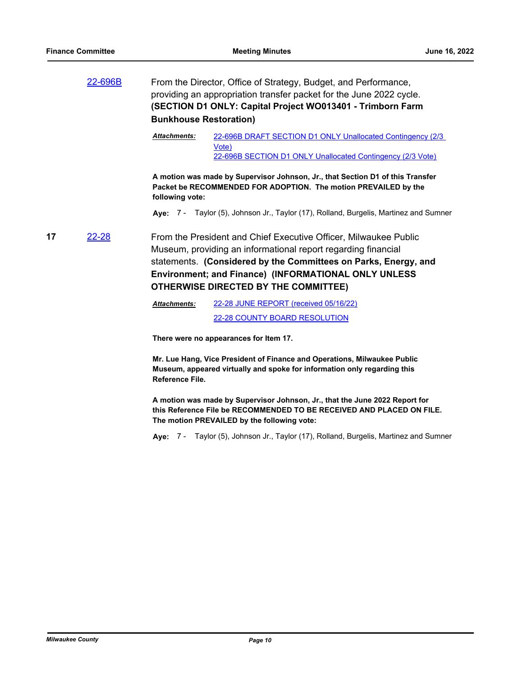|    | 22-696B      | From the Director, Office of Strategy, Budget, and Performance,<br>providing an appropriation transfer packet for the June 2022 cycle.<br>(SECTION D1 ONLY: Capital Project WO013401 - Trimborn Farm<br><b>Bunkhouse Restoration)</b>                                                                       |
|----|--------------|-------------------------------------------------------------------------------------------------------------------------------------------------------------------------------------------------------------------------------------------------------------------------------------------------------------|
|    |              | Attachments:<br>22-696B DRAFT SECTION D1 ONLY Unallocated Contingency (2/3)<br>Vote)<br>22-696B SECTION D1 ONLY Unallocated Contingency (2/3 Vote)                                                                                                                                                          |
|    |              | A motion was made by Supervisor Johnson, Jr., that Section D1 of this Transfer<br>Packet be RECOMMENDED FOR ADOPTION. The motion PREVAILED by the<br>following vote:                                                                                                                                        |
|    |              | Aye: 7 - Taylor (5), Johnson Jr., Taylor (17), Rolland, Burgelis, Martinez and Sumner                                                                                                                                                                                                                       |
| 17 | <u>22-28</u> | From the President and Chief Executive Officer, Milwaukee Public<br>Museum, providing an informational report regarding financial<br>statements. (Considered by the Committees on Parks, Energy, and<br>Environment; and Finance) (INFORMATIONAL ONLY UNLESS<br><b>OTHERWISE DIRECTED BY THE COMMITTEE)</b> |
|    |              | 22-28 JUNE REPORT (received 05/16/22)<br><b>Attachments:</b>                                                                                                                                                                                                                                                |
|    |              | 22-28 COUNTY BOARD RESOLUTION                                                                                                                                                                                                                                                                               |
|    |              | There were no appearances for Item 17.                                                                                                                                                                                                                                                                      |
|    |              | Mr. Lue Hang, Vice President of Finance and Operations, Milwaukee Public                                                                                                                                                                                                                                    |

**Mr. Lue Hang, Vice President of Finance and Operations, Milwaukee Public Museum, appeared virtually and spoke for information only regarding this Reference File.**

**A motion was made by Supervisor Johnson, Jr., that the June 2022 Report for this Reference File be RECOMMENDED TO BE RECEIVED AND PLACED ON FILE. The motion PREVAILED by the following vote:**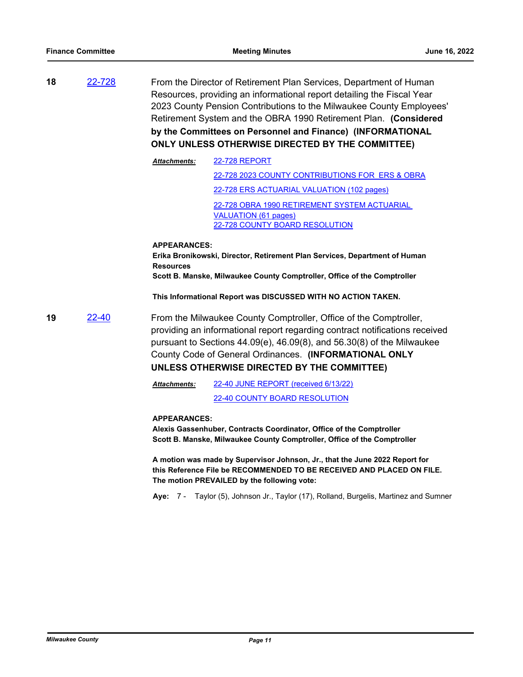**18** [22-728](http://milwaukeecounty.legistar.com/gateway.aspx?m=l&id=/matter.aspx?key=12429) From the Director of Retirement Plan Services, Department of Human Resources, providing an informational report detailing the Fiscal Year 2023 County Pension Contributions to the Milwaukee County Employees' Retirement System and the OBRA 1990 Retirement Plan. **(Considered by the Committees on Personnel and Finance) (INFORMATIONAL ONLY UNLESS OTHERWISE DIRECTED BY THE COMMITTEE)**

| <b>Attachments:</b> | <b>22-728 REPORT</b>                            |  |  |
|---------------------|-------------------------------------------------|--|--|
|                     | 22-728 2023 COUNTY CONTRIBUTIONS FOR ERS & OBRA |  |  |
|                     | 22-728 ERS ACTUARIAL VALUATION (102 pages)      |  |  |
|                     | 22-728 OBRA 1990 RETIREMENT SYSTEM ACTUARIAL    |  |  |
|                     | VALUATION (61 pages)                            |  |  |
|                     | <b>22-728 COUNTY BOARD RESOLUTION</b>           |  |  |

**APPEARANCES: Erika Bronikowski, Director, Retirement Plan Services, Department of Human Resources Scott B. Manske, Milwaukee County Comptroller, Office of the Comptroller**

**This Informational Report was DISCUSSED WITH NO ACTION TAKEN.**

**19** [22-40](http://milwaukeecounty.legistar.com/gateway.aspx?m=l&id=/matter.aspx?key=11862) From the Milwaukee County Comptroller, Office of the Comptroller, providing an informational report regarding contract notifications received pursuant to Sections 44.09(e), 46.09(8), and 56.30(8) of the Milwaukee County Code of General Ordinances. **(INFORMATIONAL ONLY UNLESS OTHERWISE DIRECTED BY THE COMMITTEE)**

> [22-40 JUNE REPORT \(received 6/13/22\)](http://MilwaukeeCounty.legistar.com/gateway.aspx?M=F&ID=45d5501c-7eca-4aa1-b986-481529a6aa38.pdf) *Attachments:*

> > [22-40 COUNTY BOARD RESOLUTION](http://MilwaukeeCounty.legistar.com/gateway.aspx?M=F&ID=7235ab26-5d67-459c-91ea-70b1c80913e5.pdf)

### **APPEARANCES:**

**Alexis Gassenhuber, Contracts Coordinator, Office of the Comptroller Scott B. Manske, Milwaukee County Comptroller, Office of the Comptroller**

**A motion was made by Supervisor Johnson, Jr., that the June 2022 Report for this Reference File be RECOMMENDED TO BE RECEIVED AND PLACED ON FILE. The motion PREVAILED by the following vote:**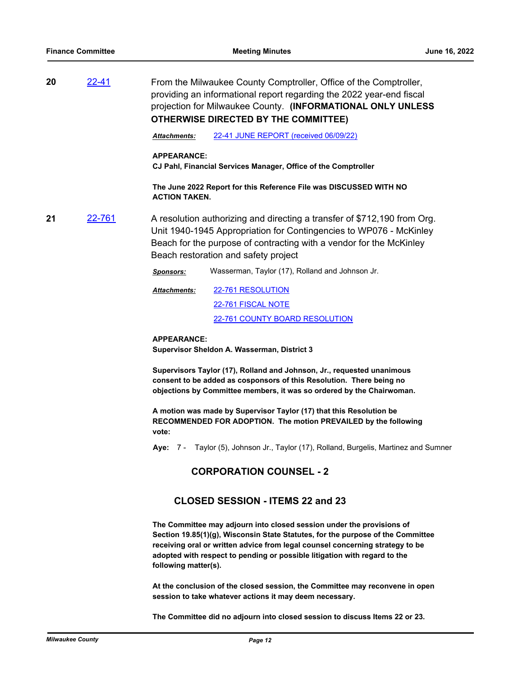**20** [22-41](http://milwaukeecounty.legistar.com/gateway.aspx?m=l&id=/matter.aspx?key=11863) From the Milwaukee County Comptroller, Office of the Comptroller, providing an informational report regarding the 2022 year-end fiscal projection for Milwaukee County. **(INFORMATIONAL ONLY UNLESS OTHERWISE DIRECTED BY THE COMMITTEE)**

*Attachments:* [22-41 JUNE REPORT \(received 06/09/22\)](http://MilwaukeeCounty.legistar.com/gateway.aspx?M=F&ID=5668200d-7b94-4ad1-957d-af2b8230378f.pdf)

#### **APPEARANCE:**

**CJ Pahl, Financial Services Manager, Office of the Comptroller**

**The June 2022 Report for this Reference File was DISCUSSED WITH NO ACTION TAKEN.**

**21** [22-761](http://milwaukeecounty.legistar.com/gateway.aspx?m=l&id=/matter.aspx?key=12471) A resolution authorizing and directing a transfer of \$712,190 from Org. Unit 1940-1945 Appropriation for Contingencies to WP076 - McKinley Beach for the purpose of contracting with a vendor for the McKinley Beach restoration and safety project

*Sponsors:* Wasserman, Taylor (17), Rolland and Johnson Jr.

[22-761 RESOLUTION](http://MilwaukeeCounty.legistar.com/gateway.aspx?M=F&ID=7192c3b5-bcdb-471c-920b-fd3d28fe2861.docx) [22-761 FISCAL NOTE](http://MilwaukeeCounty.legistar.com/gateway.aspx?M=F&ID=7f6d637a-6adc-4bfa-94f4-f23d6d48d47d.pdf) [22-761 COUNTY BOARD RESOLUTION](http://MilwaukeeCounty.legistar.com/gateway.aspx?M=F&ID=de99eedc-163a-4268-8826-ca20274121e7.pdf) *Attachments:*

**APPEARANCE: Supervisor Sheldon A. Wasserman, District 3**

**Supervisors Taylor (17), Rolland and Johnson, Jr., requested unanimous consent to be added as cosponsors of this Resolution. There being no objections by Committee members, it was so ordered by the Chairwoman.**

**A motion was made by Supervisor Taylor (17) that this Resolution be RECOMMENDED FOR ADOPTION. The motion PREVAILED by the following vote:**

**Aye:** 7 - Taylor (5), Johnson Jr., Taylor (17), Rolland, Burgelis, Martinez and Sumner

## **CORPORATION COUNSEL - 2**

## **CLOSED SESSION - ITEMS 22 and 23**

**The Committee may adjourn into closed session under the provisions of Section 19.85(1)(g), Wisconsin State Statutes, for the purpose of the Committee receiving oral or written advice from legal counsel concerning strategy to be adopted with respect to pending or possible litigation with regard to the following matter(s).**

**At the conclusion of the closed session, the Committee may reconvene in open session to take whatever actions it may deem necessary.**

**The Committee did no adjourn into closed session to discuss Items 22 or 23.**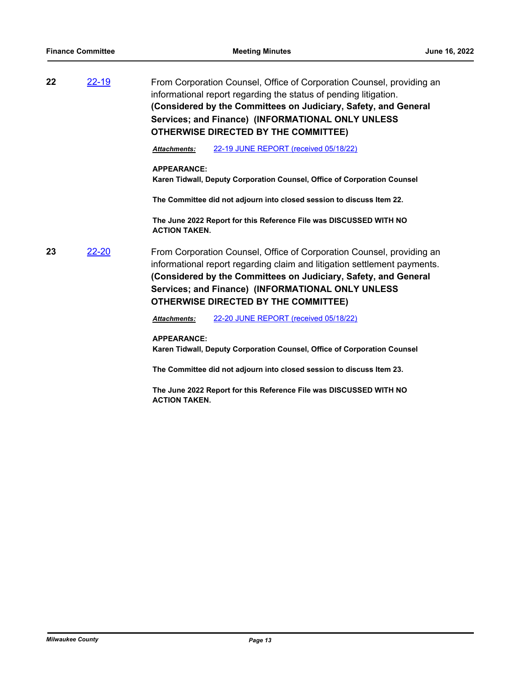| 22 | $22 - 19$ |                    | From Corporation Counsel, Office of Corporation Counsel, providing an<br>informational report regarding the status of pending litigation.<br>(Considered by the Committees on Judiciary, Safety, and General<br>Services; and Finance) (INFORMATIONAL ONLY UNLESS<br><b>OTHERWISE DIRECTED BY THE COMMITTEE)</b> |  |  |
|----|-----------|--------------------|------------------------------------------------------------------------------------------------------------------------------------------------------------------------------------------------------------------------------------------------------------------------------------------------------------------|--|--|
|    |           | Attachments:       | 22-19 JUNE REPORT (received 05/18/22)                                                                                                                                                                                                                                                                            |  |  |
|    |           | <b>APPEARANCE:</b> |                                                                                                                                                                                                                                                                                                                  |  |  |

**Karen Tidwall, Deputy Corporation Counsel, Office of Corporation Counsel**

**The Committee did not adjourn into closed session to discuss Item 22.**

**The June 2022 Report for this Reference File was DISCUSSED WITH NO ACTION TAKEN.**

**23** [22-20](http://milwaukeecounty.legistar.com/gateway.aspx?m=l&id=/matter.aspx?key=11842) From Corporation Counsel, Office of Corporation Counsel, providing an informational report regarding claim and litigation settlement payments. **(Considered by the Committees on Judiciary, Safety, and General Services; and Finance) (INFORMATIONAL ONLY UNLESS OTHERWISE DIRECTED BY THE COMMITTEE)**

*Attachments:* [22-20 JUNE REPORT \(received 05/18/22\)](http://MilwaukeeCounty.legistar.com/gateway.aspx?M=F&ID=8e73dd96-70f8-4064-bdb0-5972b96148d6.pdf)

**APPEARANCE:**

**Karen Tidwall, Deputy Corporation Counsel, Office of Corporation Counsel**

**The Committee did not adjourn into closed session to discuss Item 23.**

**The June 2022 Report for this Reference File was DISCUSSED WITH NO ACTION TAKEN.**